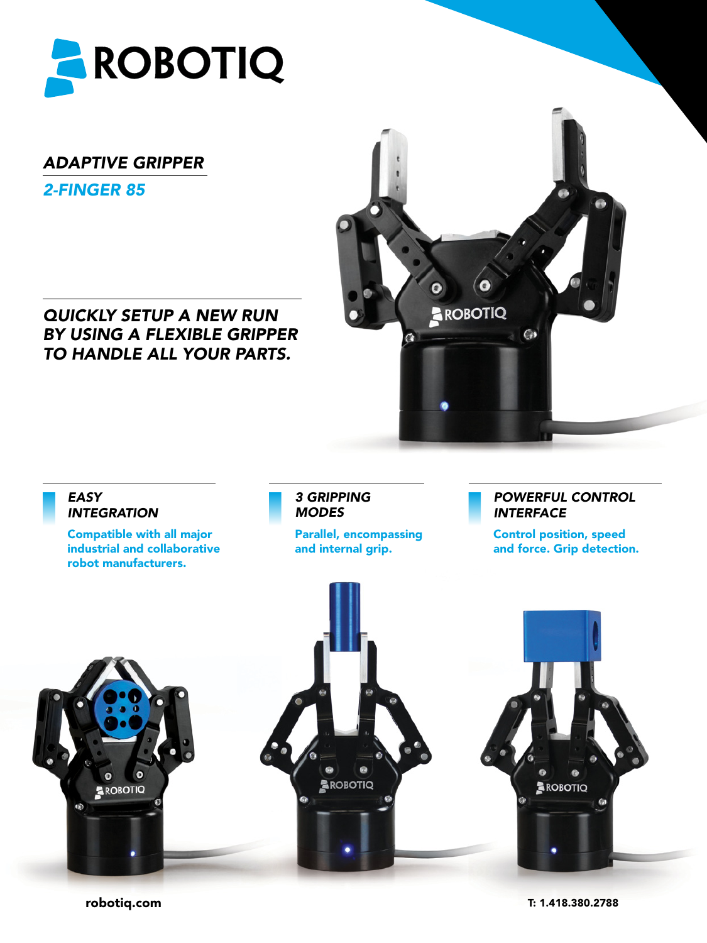

## *Adaptive Gripper*

*2-FINGER 85*

*QUICKLY SETUP A NEW RUN BY USING A FLEXIBLE GRIPPER TO HANDLE ALL YOUR PARTS.*



## *EASY INTEGRATION*

Compatible with all major industrial and collaborative robot manufacturers.

#### *3 GRIPPING MODES*

Parallel, encompassing and internal grip.

#### *Powerful control Interface*

Control position, speed and force. Grip detection.



robotiq.com

T: 1.418.380.2788